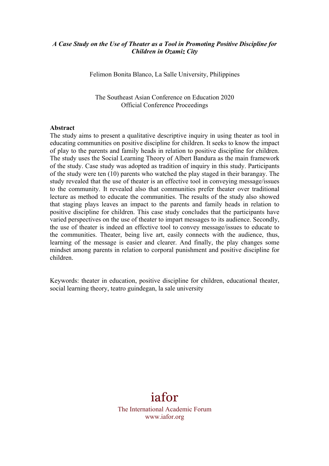### *A Case Study on the Use of Theater as a Tool in Promoting Positive Discipline for Children in Ozamiz City*

Felimon Bonita Blanco, La Salle University, Philippines

The Southeast Asian Conference on Education 2020 Official Conference Proceedings

#### **Abstract**

The study aims to present a qualitative descriptive inquiry in using theater as tool in educating communities on positive discipline for children. It seeks to know the impact of play to the parents and family heads in relation to positive discipline for children. The study uses the Social Learning Theory of Albert Bandura as the main framework of the study. Case study was adopted as tradition of inquiry in this study. Participants of the study were ten (10) parents who watched the play staged in their barangay. The study revealed that the use of theater is an effective tool in conveying message/issues to the community. It revealed also that communities prefer theater over traditional lecture as method to educate the communities. The results of the study also showed that staging plays leaves an impact to the parents and family heads in relation to positive discipline for children. This case study concludes that the participants have varied perspectives on the use of theater to impart messages to its audience. Secondly, the use of theater is indeed an effective tool to convey message/issues to educate to the communities. Theater, being live art, easily connects with the audience, thus, learning of the message is easier and clearer. And finally, the play changes some mindset among parents in relation to corporal punishment and positive discipline for children.

Keywords: theater in education, positive discipline for children, educational theater, social learning theory, teatro guindegan, la sale university

# iafor

The International Academic Forum www.iafor.org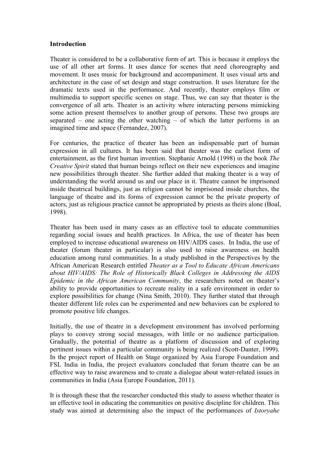#### **Introduction**

Theater is considered to be a collaborative form of art. This is because it employs the use of all other art forms. It uses dance for scenes that need choreography and movement. It uses music for background and accompaniment. It uses visual arts and architecture in the case of set design and stage construction. It uses literature for the dramatic texts used in the performance. And recently, theater employs film or multimedia to support specific scenes on stage. Thus, we can say that theater is the convergence of all arts. Theater is an activity where interacting persons mimicking some action present themselves to another group of persons. These two groups are separated – one acting the other watching – of which the latter performs in an imagined time and space (Fernandez, 2007).

For centuries, the practice of theater has been an indispensable part of human expression in all cultures. It has been said that theater was the earliest form of entertainment, as the first human invention. Stephanie Arnold (1998) in the book *The Creative Spirit* stated that human beings reflect on their new experiences and imagine new possibilities through theater. She further added that making theater is a way of understanding the world around us and our place in it. Theatre cannot be imprisoned inside theatrical buildings, just as religion cannot be imprisoned inside churches, the language of theatre and its forms of expression cannot be the private property of actors, just as religious practice cannot be appropriated by priests as theirs alone (Boal, 1998).

Theater has been used in many cases as an effective tool to educate communities regarding social issues and health practices. In Africa, the use of theater has been employed to increase educational awareness on HIV/AIDS cases. In India, the use of theater (forum theater in particular) is also used to raise awareness on health education among rural communities. In a study published in the Perspectives by the African American Research entitled *Theater as a Tool to Educate African Americans about HIV/AIDS: The Role of Historically Black Colleges in Addressing the AIDS Epidemic in the African American Community*, the researchers noted on theater's ability to provide opportunities to recreate reality in a safe environment in order to explore possibilities for change (Nina Smith, 2010). They further stated that through theater different life roles can be experimented and new behaviors can be explored to promote positive life changes.

Initially, the use of theatre in a development environment has involved performing plays to convey strong social messages, with little or no audience participation. Gradually, the potential of theatre as a platform of discussion and of exploring pertinent issues within a particular community is being realized (Scott-Danter, 1999). In the project report of Health on Stage organized by Asia Europe Foundation and FSL India in India, the project evaluators concluded that forum theatre can be an effective way to raise awareness and to create a dialogue about water-related issues in communities in India (Asia Europe Foundation, 2011).

It is through these that the researcher conducted this study to assess whether theater is an effective tool in educating the communities on positive discipline for children. This study was aimed at determining also the impact of the performances of *Istoryahe*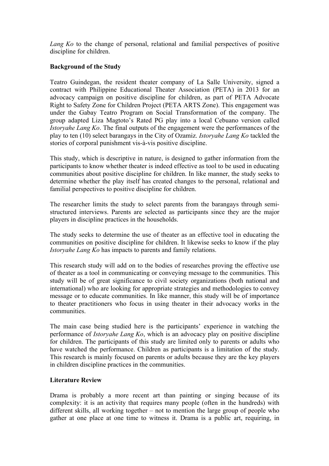*Lang Ko* to the change of personal, relational and familial perspectives of positive discipline for children.

## **Background of the Study**

Teatro Guindegan, the resident theater company of La Salle University, signed a contract with Philippine Educational Theater Association (PETA) in 2013 for an advocacy campaign on positive discipline for children, as part of PETA Advocate Right to Safety Zone for Children Project (PETA ARTS Zone). This engagement was under the Gabay Teatro Program on Social Transformation of the company. The group adapted Liza Magtoto's Rated PG play into a local Cebuano version called *Istoryahe Lang Ko*. The final outputs of the engagement were the performances of the play to ten (10) select barangays in the City of Ozamiz. *Istoryahe Lang Ko* tackled the stories of corporal punishment vis-à-vis positive discipline.

This study, which is descriptive in nature, is designed to gather information from the participants to know whether theater is indeed effective as tool to be used in educating communities about positive discipline for children. In like manner, the study seeks to determine whether the play itself has created changes to the personal, relational and familial perspectives to positive discipline for children.

The researcher limits the study to select parents from the barangays through semistructured interviews. Parents are selected as participants since they are the major players in discipline practices in the households.

The study seeks to determine the use of theater as an effective tool in educating the communities on positive discipline for children. It likewise seeks to know if the play *Istoryahe Lang Ko* has impacts to parents and family relations.

This research study will add on to the bodies of researches proving the effective use of theater as a tool in communicating or conveying message to the communities. This study will be of great significance to civil society organizations (both national and international) who are looking for appropriate strategies and methodologies to convey message or to educate communities. In like manner, this study will be of importance to theater practitioners who focus in using theater in their advocacy works in the communities.

The main case being studied here is the participants' experience in watching the performance of *Istoryahe Lang Ko*, which is an advocacy play on positive discipline for children. The participants of this study are limited only to parents or adults who have watched the performance. Children as participants is a limitation of the study. This research is mainly focused on parents or adults because they are the key players in children discipline practices in the communities.

#### **Literature Review**

Drama is probably a more recent art than painting or singing because of its complexity: it is an activity that requires many people (often in the hundreds) with different skills, all working together – not to mention the large group of people who gather at one place at one time to witness it. Drama is a public art, requiring, in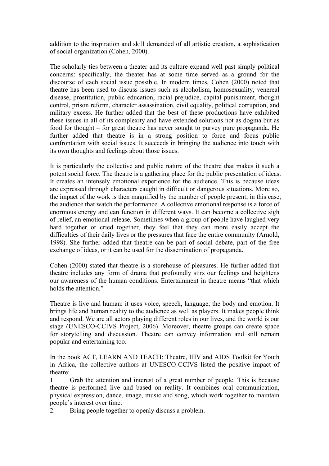addition to the inspiration and skill demanded of all artistic creation, a sophistication of social organization (Cohen, 2000).

The scholarly ties between a theater and its culture expand well past simply political concerns: specifically, the theater has at some time served as a ground for the discourse of each social issue possible. In modern times, Cohen (2000) noted that theatre has been used to discuss issues such as alcoholism, homosexuality, venereal disease, prostitution, public education, racial prejudice, capital punishment, thought control, prison reform, character assassination, civil equality, political corruption, and military excess. He further added that the best of these productions have exhibited these issues in all of its complexity and have extended solutions not as dogma but as food for thought – for great theatre has never sought to purvey pure propaganda. He further added that theatre is in a strong position to force and focus public confrontation with social issues. It succeeds in bringing the audience into touch with its own thoughts and feelings about those issues.

It is particularly the collective and public nature of the theatre that makes it such a potent social force. The theatre is a gathering place for the public presentation of ideas. It creates an intensely emotional experience for the audience. This is because ideas are expressed through characters caught in difficult or dangerous situations. More so, the impact of the work is then magnified by the number of people present; in this case, the audience that watch the performance. A collective emotional response is a force of enormous energy and can function in different ways. It can become a collective sigh of relief, an emotional release. Sometimes when a group of people have laughed very hard together or cried together, they feel that they can more easily accept the difficulties of their daily lives or the pressures that face the entire community (Arnold, 1998). She further added that theatre can be part of social debate, part of the free exchange of ideas, or it can be used for the dissemination of propaganda.

Cohen (2000) stated that theatre is a storehouse of pleasures. He further added that theatre includes any form of drama that profoundly stirs our feelings and heightens our awareness of the human conditions. Entertainment in theatre means "that which holds the attention."

Theatre is live and human: it uses voice, speech, language, the body and emotion. It brings life and human reality to the audience as well as players. It makes people think and respond. We are all actors playing different roles in our lives, and the world is our stage (UNESCO-CCIVS Project, 2006). Moreover, theatre groups can create space for storytelling and discussion. Theatre can convey information and still remain popular and entertaining too.

In the book ACT, LEARN AND TEACH: Theatre, HIV and AIDS Toolkit for Youth in Africa, the collective authors at UNESCO-CCIVS listed the positive impact of theatre:

1. Grab the attention and interest of a great number of people. This is because theatre is performed live and based on reality. It combines oral communication, physical expression, dance, image, music and song, which work together to maintain people's interest over time.

2. Bring people together to openly discuss a problem.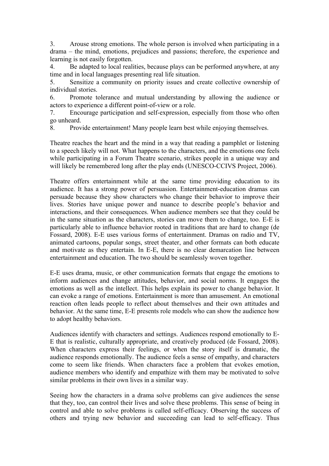3. Arouse strong emotions. The whole person is involved when participating in a drama – the mind, emotions, prejudices and passions; therefore, the experience and learning is not easily forgotten.

4. Be adapted to local realities, because plays can be performed anywhere, at any time and in local languages presenting real life situation.

5. Sensitize a community on priority issues and create collective ownership of individual stories.

6. Promote tolerance and mutual understanding by allowing the audience or actors to experience a different point-of-view or a role.

7. Encourage participation and self-expression, especially from those who often go unheard.

8. Provide entertainment! Many people learn best while enjoying themselves.

Theatre reaches the heart and the mind in a way that reading a pamphlet or listening to a speech likely will not. What happens to the characters, and the emotions one feels while participating in a Forum Theatre scenario, strikes people in a unique way and will likely be remembered long after the play ends (UNESCO-CCIVS Project, 2006).

Theatre offers entertainment while at the same time providing education to its audience. It has a strong power of persuasion. Entertainment-education dramas can persuade because they show characters who change their behavior to improve their lives. Stories have unique power and nuance to describe people's behavior and interactions, and their consequences. When audience members see that they could be in the same situation as the characters, stories can move them to change, too. E-E is particularly able to influence behavior rooted in traditions that are hard to change (de Fossard, 2008). E-E uses various forms of entertainment. Dramas on radio and TV, animated cartoons, popular songs, street theater, and other formats can both educate and motivate as they entertain. In E-E, there is no clear demarcation line between entertainment and education. The two should be seamlessly woven together.

E-E uses drama, music, or other communication formats that engage the emotions to inform audiences and change attitudes, behavior, and social norms. It engages the emotions as well as the intellect. This helps explain its power to change behavior. It can evoke a range of emotions. Entertainment is more than amusement. An emotional reaction often leads people to reflect about themselves and their own attitudes and behavior. At the same time, E-E presents role models who can show the audience how to adopt healthy behaviors.

Audiences identify with characters and settings. Audiences respond emotionally to E-E that is realistic, culturally appropriate, and creatively produced (de Fossard, 2008). When characters express their feelings, or when the story itself is dramatic, the audience responds emotionally. The audience feels a sense of empathy, and characters come to seem like friends. When characters face a problem that evokes emotion, audience members who identify and empathize with them may be motivated to solve similar problems in their own lives in a similar way.

Seeing how the characters in a drama solve problems can give audiences the sense that they, too, can control their lives and solve these problems. This sense of being in control and able to solve problems is called self-efficacy. Observing the success of others and trying new behavior and succeeding can lead to self-efficacy. Thus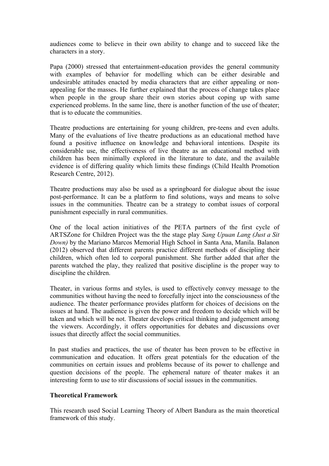audiences come to believe in their own ability to change and to succeed like the characters in a story.

Papa (2000) stressed that entertainment-education provides the general community with examples of behavior for modelling which can be either desirable and undesirable attitudes enacted by media characters that are either appealing or nonappealing for the masses. He further explained that the process of change takes place when people in the group share their own stories about coping up with same experienced problems. In the same line, there is another function of the use of theater; that is to educate the communities.

Theatre productions are entertaining for young children, pre-teens and even adults. Many of the evaluations of live theatre productions as an educational method have found a positive influence on knowledge and behavioral intentions. Despite its considerable use, the effectiveness of live theatre as an educational method with children has been minimally explored in the literature to date, and the available evidence is of differing quality which limits these findings (Child Health Promotion Research Centre, 2012).

Theatre productions may also be used as a springboard for dialogue about the issue post-performance. It can be a platform to find solutions, ways and means to solve issues in the communities. Theatre can be a strategy to combat issues of corporal punishment especially in rural communities.

One of the local action initiatives of the PETA partners of the first cycle of ARTSZone for Children Project was the the stage play *Sang Upuan Lang (Just a Sit Down)* by the Mariano Marcos Memorial High School in Santa Ana, Manila. Balanon (2012) observed that different parents practice different methods of discipling their children, which often led to corporal punishment. She further added that after the parents watched the play, they realized that positive discipline is the proper way to discipline the children.

Theater, in various forms and styles, is used to effectively convey message to the communities without having the need to forcefully inject into the consciousness of the audience. The theater performance provides platform for choices of decisions on the issues at hand. The audience is given the power and freedom to decide which will be taken and which will be not. Theater develops critical thinking and judgement among the viewers. Accordingly, it offers opportunities for debates and discussions over issues that directly affect the social communities.

In past studies and practices, the use of theater has been proven to be effective in communication and education. It offers great potentials for the education of the communities on certain issues and problems because of its power to challenge and question decisions of the people. The ephemeral nature of theater makes it an interesting form to use to stir discussions of social isssues in the communities.

#### **Theoretical Framework**

This research used Social Learning Theory of Albert Bandura as the main theoretical framework of this study.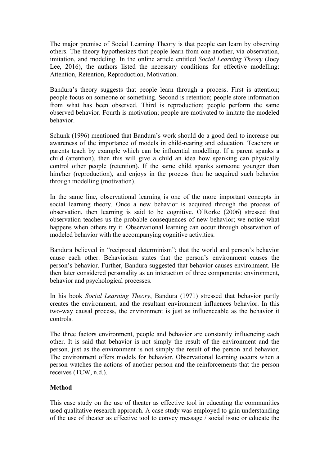The major premise of Social Learning Theory is that people can learn by observing others. The theory hypothesizes that people learn from one another, via observation, imitation, and modeling. In the online article entitled *Social Learning Theory* (Joey Lee, 2016), the authors listed the necessary conditions for effective modelling: Attention, Retention, Reproduction, Motivation.

Bandura's theory suggests that people learn through a process. First is attention; people focus on someone or something. Second is retention; people store information from what has been observed. Third is reproduction; people perform the same observed behavior. Fourth is motivation; people are motivated to imitate the modeled behavior.

Schunk (1996) mentioned that Bandura's work should do a good deal to increase our awareness of the importance of models in child-rearing and education. Teachers or parents teach by example which can be influential modelling. If a parent spanks a child (attention), then this will give a child an idea how spanking can physically control other people (retention). If the same child spanks someone younger than him/her (reproduction), and enjoys in the process then he acquired such behavior through modelling (motivation).

In the same line, observational learning is one of the more important concepts in social learning theory. Once a new behavior is acquired through the process of observation, then learning is said to be cognitive. O'Rorke (2006) stressed that observation teaches us the probable consequences of new behavior; we notice what happens when others try it. Observational learning can occur through observation of modeled behavior with the accompanying cognitive activities.

Bandura believed in "reciprocal determinism"; that the world and person's behavior cause each other. Behaviorism states that the person's environment causes the person's behavior. Further, Bandura suggested that behavior causes environment. He then later considered personality as an interaction of three components: environment, behavior and psychological processes.

In his book *Social Learning Theory*, Bandura (1971) stressed that behavior partly creates the environment, and the resultant environment influences behavior. In this two-way causal process, the environment is just as influenceable as the behavior it controls.

The three factors environment, people and behavior are constantly influencing each other. It is said that behavior is not simply the result of the environment and the person, just as the environment is not simply the result of the person and behavior. The environment offers models for behavior. Observational learning occurs when a person watches the actions of another person and the reinforcements that the person receives (TCW, n.d.).

#### **Method**

This case study on the use of theater as effective tool in educating the communities used qualitative research approach. A case study was employed to gain understanding of the use of theater as effective tool to convey message / social issue or educate the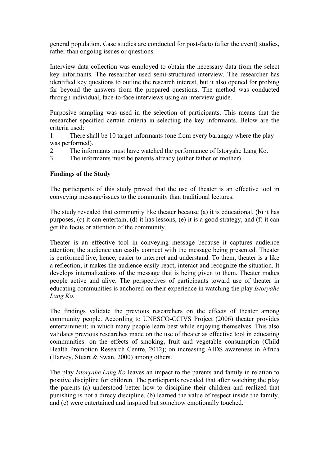general population. Case studies are conducted for post-facto (after the event) studies, rather than ongoing issues or questions.

Interview data collection was employed to obtain the necessary data from the select key informants. The researcher used semi-structured interview. The researcher has identified key questions to outline the research interest, but it also opened for probing far beyond the answers from the prepared questions. The method was conducted through individual, face-to-face interviews using an interview guide.

Purposive sampling was used in the selection of participants. This means that the researcher specified certain criteria in selecting the key informants. Below are the criteria used:

1. There shall be 10 target informants (one from every barangay where the play was performed).

2. The informants must have watched the performance of Istoryahe Lang Ko.

3. The informants must be parents already (either father or mother).

#### **Findings of the Study**

The participants of this study proved that the use of theater is an effective tool in conveying message/issues to the community than traditional lectures.

The study revealed that community like theater because (a) it is educational, (b) it has purposes, (c) it can entertain, (d) it has lessons, (e) it is a good strategy, and (f) it can get the focus or attention of the community.

Theater is an effective tool in conveying message because it captures audience attention; the audience can easily connect with the message being presented. Theater is performed live, hence, easier to interpret and understand. To them, theater is a like a reflection; it makes the audience easily react, interact and recognize the situation. It develops internalizations of the message that is being given to them. Theater makes people active and alive. The perspectives of participants toward use of theater in educating communities is anchored on their experience in watching the play *Istoryahe Lang Ko*.

The findings validate the previous researchers on the effects of theater among community people. According to UNESCO-CCIVS Project (2006) theater provides entertainment; in which many people learn best while enjoying themselves. This also validates previous researches made on the use of theater as effective tool in educating communities: on the effects of smoking, fruit and vegetable consumption (Child Health Promotion Research Centre, 2012); on increasing AIDS awareness in Africa (Harvey, Stuart & Swan, 2000) among others.

The play *Istoryahe Lang Ko* leaves an impact to the parents and family in relation to positive discipline for children. The participants revealed that after watching the play the parents (a) understood better how to discipline their children and realized that punishing is not a direcy discipline, (b) learned the value of respect inside the family, and (c) were entertained and inspired but somehow emotionally touched.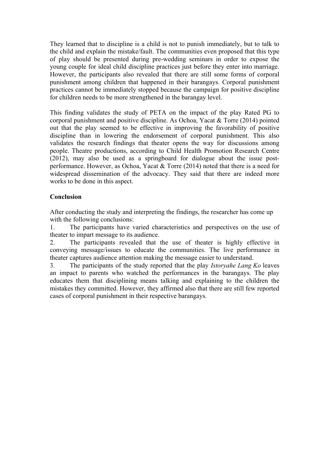They learned that to discipline is a child is not to punish immediately, but to talk to the child and explain the mistake/fault. The communities even proposed that this type of play should be presented during pre-wedding seminars in order to expose the young couple for ideal child discipline practices just before they enter into marriage. However, the participants also revealed that there are still some forms of corporal punishment among children that happened in their barangays. Corporal punishment practices cannot be immediately stopped because the campaign for positive discipline for children needs to be more strengthened in the barangay level.

This finding validates the study of PETA on the impact of the play Rated PG to corporal punishment and positive discipline. As Ochoa, Yacat & Torre (2014) pointed out that the play seemed to be effective in improving the favorability of positive discipline than in lowering the endorsement of corporal punishment. This also validates the research findings that theater opens the way for discussions among people. Theatre productions, according to Child Health Promotion Research Centre (2012), may also be used as a springboard for dialogue about the issue postperformance. However, as Ochoa, Yacat & Torre (2014) noted that there is a need for widespread dissemination of the advocacy. They said that there are indeed more works to be done in this aspect.

## **Conclusion**

After conducting the study and interpreting the findings, the researcher has come up with the following conclusions:

1. The participants have varied characteristics and perspectives on the use of theater to impart message to its audience.

2. The participants revealed that the use of theater is highly effective in conveying message/issues to educate the communities. The live performance in theater captures audience attention making the message easier to understand.

3. The participants of the study reported that the play *Istoryahe Lang Ko* leaves an impact to parents who watched the performances in the barangays. The play educates them that disciplining means talking and explaining to the children the mistakes they committed. However, they affirmed also that there are still few reported cases of corporal punishment in their respective barangays.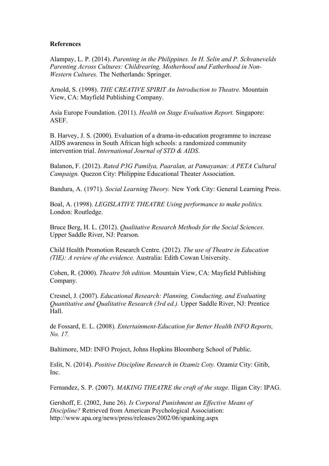#### **References**

Alampay, L. P. (2014). *Parenting in the Philippines. In H. Selin and P. Schvanevelds Parenting Across Cultures: Childrearing, Motherhood and Fatherhood in Non-Western Cultures.* The Netherlands: Springer.

Arnold, S. (1998). *THE CREATIVE SPIRIT An Introduction to Theatre.* Mountain View, CA: Mayfield Publishing Company.

Asia Europe Foundation. (2011). *Health on Stage Evaluation Report.* Singapore: ASEF.

B. Harvey, J. S. (2000). Evaluation of a drama-in-education programme to increase AIDS awareness in South African high schools: a randomized community intervention trial. *International Journal of STD & AIDS*.

Balanon, F. (2012). *Rated P3G Pamilya, Paaralan, at Pamayanan: A PETA Cultural Campaign.* Quezon City: Philippine Educational Theater Association.

Bandura, A. (1971). *Social Learning Theory.* New York City: General Learning Press.

Boal, A. (1998). *LEGISLATIVE THEATRE Using performance to make politics.* London: Routledge.

Bruce Berg, H. L. (2012). *Qualitative Research Methods for the Social Sciences.* Upper Saddle River, NJ: Pearson.

Child Health Promotion Research Centre. (2012). *The use of Theatre in Education (TIE): A review of the evidence.* Australia: Edith Cowan University.

Cohen, R. (2000). *Theatre 5th edition.* Mountain View, CA: Mayfield Publishing Company.

Cresnel, J. (2007). *Educational Research: Planning, Conducting, and Evaluating Quantitative and Qualitative Research (3rd ed.).* Upper Saddle River, NJ: Prentice Hall.

de Fossard, E. L. (2008). *Entertainment-Education for Better Health INFO Reports, No. 17.*

Baltimore, MD: INFO Project, Johns Hopkins Bloomberg School of Public.

Eslit, N. (2014). *Positive Discipline Research in Ozamiz Coty.* Ozamiz City: Gitib, Inc.

Fernandez, S. P. (2007). *MAKING THEATRE the craft of the stage.* Iligan City: IPAG.

Gershoff, E. (2002, June 26). *Is Corporal Punishment an Effective Means of Discipline?* Retrieved from American Psychological Association: http://www.apa.org/news/press/releases/2002/06/spanking.aspx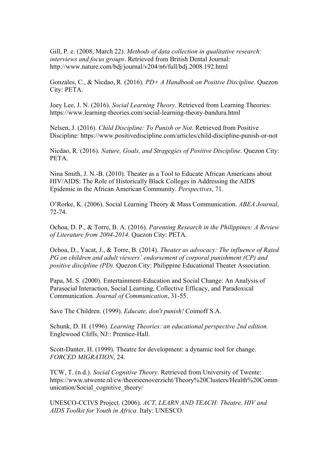Gill, P. e. (2008, March 22). *Methods of data collection in qualitative research: interviews and focus groups*. Retrieved from British Dental Journal: http://www.nature.com/bdj/journal/v204/n6/full/bdj.2008.192.html

Gonzales, C., & Nicdao, R. (2016). *PD+ A Handbook on Positive Discipline.* Quezon City: PETA.

Joey Lee, J. N. (2016). *Social Learning Theory*. Retrieved from Learning Theories: https://www.learning-theories.com/social-learning-theory-bandura.html

Nelsen, J. (2016). *Child Discipline: To Punish or Not*. Retrieved from Positive Discipline: https://www.positivediscipline.com/articles/child-discipline-punish-or-not

Nicdao, R. (2016). *Nature, Goals, and Stragegies of Positive Discipline.* Quezon City: PETA.

Nina Smith, J. N.-B. (2010). Theater as a Tool to Educate African Americans about HIV/AIDS: The Role of Historically Black Colleges in Addressing the AIDS Epidemic in the African American Community. *Perspectives*, 71.

O'Rorke, K. (2006). Social Learning Theory & Mass Communication. *ABEA Journal*, 72-74.

Ochoa, D. P., & Torre, B. A. (2016). *Parenting Research in the Philippines: A Review of Literature from 2004-2014.* Quezon City: PETA.

Ochoa, D., Yacat, J., & Torre, B. (2014). *Theater as advocacy: The influence of Rated PG on children and adult viewers' endorsement of corporal punishment (CP) and positive discipline (PD).* Quezon City: Philippine Educational Theater Association.

Papa, M. S. (2000). Entertainment-Education and Social Change: An Analysis of Parasocial Interaction, Social Learning, Collective Efficacy, and Paradoxical Communication. *Journal of Communication*, 31-55.

Save The Children. (1999). *Educate, don't punish!* Coimoff S.A.

Schunk, D. H. (1996). *Learning Theories: an educational perspective 2nd edition.* Englewood Cliffs, NJ:: Prentice-Hall.

Scott-Danter, H. (1999). Theatre for development: a dynamic tool for change. *FORCED MIGRATION*, 24.

TCW, T. (n.d.). *Social Cognitive Theory*. Retrieved from University of Twente: https://www.utwente.nl/cw/theorieenoverzicht/Theory%20Clusters/Health%20Comm unication/Social cognitive theory/

UNESCO-CCIVS Project. (2006). *ACT, LEARN AND TEACH: Theatre, HIV and AIDS Toolkit for Youth in Africa.* Italy: UNESCO.